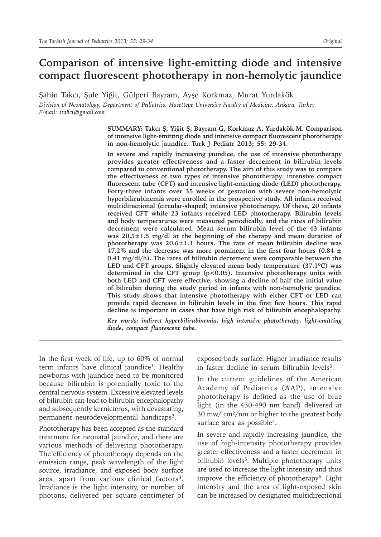# **Comparison of intensive light-emitting diode and intensive compact fluorescent phototherapy in non-hemolytic jaundice**

Şahin Takcı, Şule Yiğit, Gülperi Bayram, Ayşe Korkmaz, Murat Yurdakök *Division of Neonatology, Department of Pediatrics, Hacettepe University Faculty of Medicine, Ankara, Turkey. E-mail: stakci@gmail.com*

> **SUMMARY: Takcı Ş, Yiğit Ş, Bayram G, Korkmaz A, Yurdakök M. Comparison of intensive light-emitting diode and intensive compact fluorescent phototherapy in non-hemolytic jaundice. Turk J Pediatr 2013; 55: 29-34.**

> **In severe and rapidly increasing jaundice, the use of intensive phototherapy provides greater effectiveness and a faster decrement in bilirubin levels compared to conventional phototherapy. The aim of this study was to compare the effectiveness of two types of intensive phototherapy: intensive compact fluorescent tube (CFT) and intensive light-emitting diode (LED) phototherapy. Forty-three infants over 35 weeks of gestation with severe non-hemolytic hyperbilirubinemia were enrolled in the prospective study. All infants received multidirectional (circular-shaped) intensive phototherapy. Of these, 20 infants received CFT while 23 infants received LED phototherapy. Bilirubin levels and body temperatures were measured periodically, and the rates of bilirubin decrement were calculated. Mean serum bilirubin level of the 43 infants was 20.5±1.5 mg/dl at the beginning of the therapy and mean duration of phototherapy was 20.6±1.1 hours. The rate of mean bilirubin decline was 47.2% and the decrease was more prominent in the first four hours (0.84 ± 0.41 mg/dl/h). The rates of bilirubin decrement were comparable between the LED and CFT groups. Slightly elevated mean body temperature (37.1ºC) was determined in the CFT group (p<0.05). Intensive phototherapy units with both LED and CFT were effective, showing a decline of half the initial value of bilirubin during the study period in infants with non-hemolytic jaundice. This study shows that intensive phototherapy with either CFT or LED can provide rapid decrease in bilirubin levels in the first few hours. This rapid decline is important in cases that have high risk of bilirubin encephalopathy.**

> *Key words: indirect hyperbilirubinemia, high intensive phototherapy, light-emitting diode, compact fluorescent tube.*

In the first week of life, up to 60% of normal term infants have clinical jaundice<sup>1</sup>. Healthy newborns with jaundice need to be monitored because bilirubin is potentially toxic to the central nervous system. Excessive elevated levels of bilirubin can lead to bilirubin encephalopathy and subsequently kernicterus, with devastating, permanent neurodevelopmental handicaps2.

Phototherapy has been accepted as the standard treatment for neonatal jaundice, and there are various methods of delivering phototherapy. The efficiency of phototherapy depends on the emission range, peak wavelength of the light source, irradiance, and exposed body surface area, apart from various clinical factors<sup>3</sup>. Irradiance is the light intensity, or number of photons, delivered per square centimeter of exposed body surface. Higher irradiance results in faster decline in serum bilirubin levels<sup>3</sup>.

In the current guidelines of the American Academy of Pediatrics (AAP), intensive phototherapy is defined as the use of blue light (in the 430-490 nm band) delivered at 30 mw/ cm²/nm or higher to the greatest body surface area as possible4.

In severe and rapidly increasing jaundice, the use of high-intensity phototherapy provides greater effectiveness and a faster decrement in bilirubin levels<sup>5</sup>. Multiple phototherapy units are used to increase the light intensity and thus improve the efficiency of phototherapy6. Light intensity and the area of light-exposed skin can be increased by designated multidirectional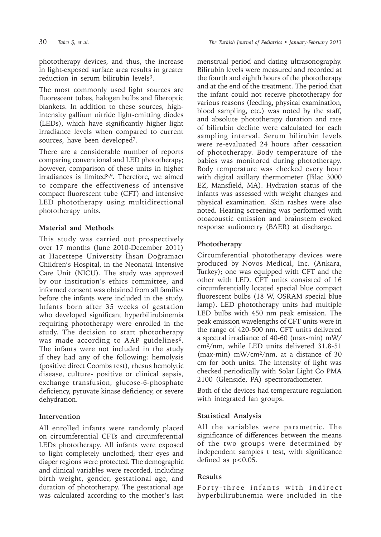phototherapy devices, and thus, the increase in light-exposed surface area results in greater reduction in serum bilirubin levels<sup>3</sup>.

The most commonly used light sources are fluorescent tubes, halogen bulbs and fiberoptic blankets. In addition to these sources, highintensity gallium nitride light-emitting diodes (LEDs), which have significantly higher light irradiance levels when compared to current sources, have been developed7.

There are a considerable number of reports comparing conventional and LED phototherapy; however, comparison of these units in higher irradiances is limited8,9. Therefore, we aimed to compare the effectiveness of intensive compact fluorescent tube (CFT) and intensive LED phototherapy using multidirectional phototherapy units.

#### **Material and Methods**

This study was carried out prospectively over 17 months (June 2010-December 2011) at Hacettepe University İhsan Doğramacı Children's Hospital, in the Neonatal Intensive Care Unit (NICU). The study was approved by our institution's ethics committee, and informed consent was obtained from all families before the infants were included in the study. Infants born after 35 weeks of gestation who developed significant hyperbilirubinemia requiring phototherapy were enrolled in the study. The decision to start phototherapy was made according to AAP guidelines<sup>6</sup>. The infants were not included in the study if they had any of the following: hemolysis (positive direct Coombs test), rhesus hemolytic disease, culture- positive or clinical sepsis, exchange transfusion, glucose-6-phosphate deficiency, pyruvate kinase deficiency, or severe dehydration.

## **Intervention**

All enrolled infants were randomly placed on circumferential CFTs and circumferential LEDs phototherapy. All infants were exposed to light completely unclothed; their eyes and diaper regions were protected. The demographic and clinical variables were recorded, including birth weight, gender, gestational age, and duration of phototherapy. The gestational age was calculated according to the mother's last

menstrual period and dating ultrasonography. Bilirubin levels were measured and recorded at the fourth and eighth hours of the phototherapy and at the end of the treatment. The period that the infant could not receive phototherapy for various reasons (feeding, physical examination, blood sampling, etc.) was noted by the staff, and absolute phototherapy duration and rate of bilirubin decline were calculated for each sampling interval. Serum bilirubin levels were re-evaluated 24 hours after cessation of phototherapy. Body temperature of the babies was monitored during phototherapy. Body temperature was checked every hour with digital axillary thermometer (Filac 3000 EZ, Mansfield, MA). Hydration status of the infants was assessed with weight changes and physical examination. Skin rashes were also noted. Hearing screening was performed with otoacoustic emission and brainstem evoked response audiometry (BAER) at discharge.

## **Phototherapy**

Circumferential phototherapy devices were produced by Novos Medical, Inc. (Ankara, Turkey); one was equipped with CFT and the other with LED. CFT units consisted of 16 circumferentially located special blue compact fluorescent bulbs (18 W, OSRAM special blue lamp). LED phototherapy units had multiple LED bulbs with 450 nm peak emission. The peak emission wavelengths of CFT units were in the range of 420-500 nm. CFT units delivered a spectral irradiance of 40-60 (max-min) mW/ cm2/nm, while LED units delivered 31.8-51 (max-min) mW/cm2/nm, at a distance of 30 cm for both units. The intensity of light was checked periodically with Solar Light Co PMA 2100 (Glenside, PA) spectroradiometer.

Both of the devices had temperature regulation with integrated fan groups.

## **Statistical Analysis**

All the variables were parametric. The significance of differences between the means of the two groups were determined by independent samples t test, with significance defined as  $p<0.05$ .

#### **Results**

Forty-three infants with indirect hyperbilirubinemia were included in the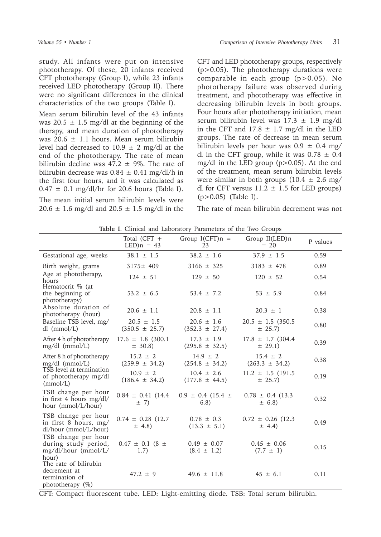study. All infants were put on intensive phototherapy. Of these, 20 infants received CFT phototherapy (Group I), while 23 infants received LED phototherapy (Group II). There were no significant differences in the clinical characteristics of the two groups (Table I).

Mean serum bilirubin level of the 43 infants was 20.5  $\pm$  1.5 mg/dl at the beginning of the therapy, and mean duration of phototherapy was  $20.6 \pm 1.1$  hours. Mean serum bilirubin level had decreased to  $10.9 \pm 2$  mg/dl at the end of the phototherapy. The rate of mean bilirubin decline was  $47.2 \pm 9\%$ . The rate of bilirubin decrease was  $0.84 \pm 0.41$  mg/dl/h in the first four hours, and it was calculated as  $0.47 \pm 0.1$  mg/dl/hr for 20.6 hours (Table I). The mean initial serum bilirubin levels were  $20.6 \pm 1.6$  mg/dl and  $20.5 \pm 1.5$  mg/dl in the

CFT and LED phototherapy groups, respectively  $(p>0.05)$ . The phototherapy durations were comparable in each group (p>0.05). No phototherapy failure was observed during treatment, and phototherapy was effective in decreasing bilirubin levels in both groups. Four hours after phototherapy initiation, mean serum bilirubin level was  $17.3 \pm 1.9$  mg/dl in the CFT and  $17.8 \pm 1.7$  mg/dl in the LED groups. The rate of decrease in mean serum bilirubin levels per hour was  $0.9 \pm 0.4$  mg/ dl in the CFT group, while it was  $0.78 \pm 0.4$ mg/dl in the LED group (p>0.05). At the end of the treatment, mean serum bilirubin levels were similar in both groups  $(10.4 \pm 2.6 \text{ mg}/$ dl for CFT versus  $11.2 \pm 1.5$  for LED groups) (p>0.05) (Table I).

The rate of mean bilirubin decrement was not

| Table I. Clinical and Laboratory Parameters of the Two Groups |
|---------------------------------------------------------------|
|---------------------------------------------------------------|

|                                                                             | Total (CFT $+$<br>$LED$ n = 43        | Group $I(CFT)n =$<br>23              | Group II(LED)n<br>$= 20$              | P values |
|-----------------------------------------------------------------------------|---------------------------------------|--------------------------------------|---------------------------------------|----------|
| Gestational age, weeks                                                      | $38.1 \pm 1.5$                        | $38.2 \pm 1.6$                       | $37.9 \pm 1.5$                        | 0.59     |
| Birth weight, grams                                                         | $3175 \pm 409$                        | $3166 \pm 325$                       | $3183 \pm 478$                        | 0.89     |
| Age at phototherapy,<br>hours                                               | $124 \pm 51$                          | $129 \pm 50$                         | $120 \pm 52$                          | 0.54     |
| Hematocrit % (at<br>the beginning of<br>phototherapy)                       | $53.2 \pm 6.5$                        | $53.4 \pm 7.2$                       | $53 \pm 5.9$                          | 0.84     |
| Absolute duration of<br>phototherapy (hour)                                 | $20.6 \pm 1.1$                        | $20.8 \pm 1.1$                       | $20.3 \pm 1$                          | 0.38     |
| Baseline TSB level, mg/<br>$dl$ (mmol/L)                                    | $20.5 \pm 1.5$<br>$(350.5 \pm 25.7)$  | $20.6 \pm 1.6$<br>$(352.3 \pm 27.4)$ | $20.5 \pm 1.5$ (350.5)<br>$\pm$ 25.7) | 0.80     |
| After 4 h of phototherapy<br>mg/dl (mmol/L)                                 | $17.6 \pm 1.8$ (300.1)<br>$\pm$ 30.8) | $17.3 \pm 1.9$<br>$(295.8 \pm 32.5)$ | $17.8 \pm 1.7$ (304.4)<br>$\pm$ 29.1) | 0.39     |
| After 8 h of phototherapy<br>$mg/dl$ (mmol/L)                               | $15.2 \pm 2$<br>$(259.9 \pm 34.2)$    | $14.9 \pm 2$<br>$(254.8 \pm 34.2)$   | $15.4 \pm 2$<br>$(263.3 \pm 34.2)$    | 0.38     |
| TSB level at termination<br>of phototherapy mg/dl<br>(mmol/L)               | $10.9 \pm 2$<br>$(186.4 \pm 34.2)$    | $10.4 \pm 2.6$<br>$(177.8 \pm 44.5)$ | $11.2 \pm 1.5$ (191.5)<br>$\pm$ 25.7) | 0.19     |
| TSB change per hour<br>in first 4 hours $mg/dl/$<br>hour (mmol/L/hour)      | $0.84 \pm 0.41$ (14.4)<br>$\pm$ 7)    | $0.9 \pm 0.4$ (15.4 $\pm$<br>6.8)    | $0.78 \pm 0.4$ (13.3)<br>$\pm$ 6.8)   | 0.32     |
| TSB change per hour<br>in first 8 hours, mg/<br>dl/hour (mmol/L/hour)       | $0.74 \pm 0.28$ (12.7)<br>$\pm$ 4.8)  | $0.78 \pm 0.3$<br>$(13.3 \pm 5.1)$   | $0.72 \pm 0.26$ (12.3)<br>$\pm$ 4.4)  | 0.49     |
| TSB change per hour<br>during study period,<br>mg/dl/hour (mmol/L/<br>hour) | $0.47 \pm 0.1$ (8 $\pm$<br>1.7)       | $0.49 \pm 0.07$<br>$(8.4 \pm 1.2)$   | $0.45 \pm 0.06$<br>$(7.7 \pm 1)$      | 0.15     |
| The rate of bilirubin<br>decrement at<br>termination of<br>phototherapy (%) | $47.2 \pm 9$                          | $49.6 \pm 11.8$                      | $45 \pm 6.1$                          | 0.11     |

CFT: Compact fluorescent tube. LED: Light-emitting diode. TSB: Total serum bilirubin.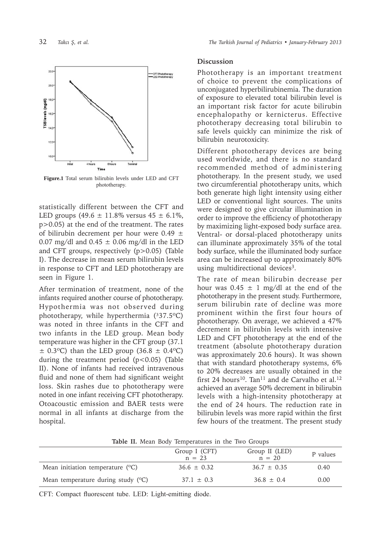

**Figure.1** Total serum bilirubin levels under LED and CFT phototherapy.

statistically different between the CFT and LED groups  $(49.6 \pm 11.8\% \text{ versus } 45 \pm 6.1\%$ , p>0.05) at the end of the treatment. The rates of bilirubin decrement per hour were  $0.49 \pm$ 0.07 mg/dl and  $0.45 \pm 0.06$  mg/dl in the LED and CFT groups, respectively (p>0.05) (Table I). The decrease in mean serum bilirubin levels in response to CFT and LED phototherapy are seen in Figure 1.

After termination of treatment, none of the infants required another course of phototherapy. Hypothermia was not observed during phototherapy, while hyperthermia  $(337.5^{\circ}C)$ was noted in three infants in the CFT and two infants in the LED group. Mean body temperature was higher in the CFT group (37.1  $\pm$  0.3°C) than the LED group (36.8  $\pm$  0.4°C) during the treatment period  $(p<0.05)$  (Table II). None of infants had received intravenous fluid and none of them had significant weight loss. Skin rashes due to phototherapy were noted in one infant receiving CFT phototherapy. Otoacoustic emission and BAER tests were normal in all infants at discharge from the hospital.

#### **Discussion**

Phototherapy is an important treatment of choice to prevent the complications of unconjugated hyperbilirubinemia. The duration of exposure to elevated total bilirubin level is an important risk factor for acute bilirubin encephalopathy or kernicterus. Effective phototherapy decreasing total bilirubin to safe levels quickly can minimize the risk of bilirubin neurotoxicity.

Different phototherapy devices are being used worldwide, and there is no standard recommended method of administering phototherapy. In the present study, we used two circumferential phototherapy units, which both generate high light intensity using either LED or conventional light sources. The units were designed to give circular illumination in order to improve the efficiency of phototherapy by maximizing light-exposed body surface area. Ventral- or dorsal-placed phototherapy units can illuminate approximately 35% of the total body surface, while the illuminated body surface area can be increased up to approximately 80% using multidirectional devices<sup>3</sup>.

The rate of mean bilirubin decrease per hour was  $0.45 \pm 1$  mg/dl at the end of the phototherapy in the present study. Furthermore, serum bilirubin rate of decline was more prominent within the first four hours of phototherapy. On average, we achieved a 47% decrement in bilirubin levels with intensive LED and CFT phototherapy at the end of the treatment (absolute phototherapy duration was approximately 20.6 hours). It was shown that with standard phototherapy systems, 6% to 20% decreases are usually obtained in the first 24 hours<sup>10</sup>. Tan<sup>11</sup> and de Carvalho et al.<sup>12</sup> achieved an average 50% decrement in bilirubin levels with a high-intensity phototherapy at the end of 24 hours. The reduction rate in bilirubin levels was more rapid within the first few hours of the treatment. The present study

**Table II.** Mean Body Temperatures in the Two Groups

|                                      | Group I (CFT)<br>$n = 23$ | Group II (LED)<br>$n = 20$ | P values |
|--------------------------------------|---------------------------|----------------------------|----------|
| Mean initiation temperature $(°C)$   | $36.6 \pm 0.32$           | $36.7 \pm 0.35$            | 0.40     |
| Mean temperature during study $(°C)$ | $37.1 \pm 0.3$            | $36.8 \pm 0.4$             | 0.00     |

CFT: Compact fluorescent tube. LED: Light-emitting diode.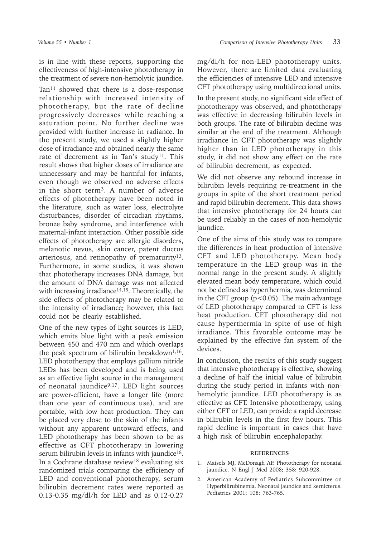is in line with these reports, supporting the effectiveness of high-intensive phototherapy in the treatment of severe non-hemolytic jaundice.

Tan<sup>11</sup> showed that there is a dose-response relationship with increased intensity of phototherapy, but the rate of decline progressively decreases while reaching a saturation point. No further decline was provided with further increase in radiance. In the present study, we used a slightly higher dose of irradiance and obtained nearly the same rate of decrement as in Tan's study<sup>11</sup>. This result shows that higher doses of irradiance are unnecessary and may be harmful for infants, even though we observed no adverse effects in the short term3. A number of adverse effects of phototherapy have been noted in the literature, such as water loss, electrolyte disturbances, disorder of circadian rhythms, bronze baby syndrome, and interference with maternal-infant interaction. Other possible side effects of phototherapy are allergic disorders, melanotic nevus, skin cancer, patent ductus arteriosus, and retinopathy of prematurity<sup>13</sup>. Furthermore, in some studies, it was shown that phototherapy increases DNA damage, but the amount of DNA damage was not affected with increasing irradiance $14,15$ . Theoretically, the side effects of phototherapy may be related to the intensity of irradiance; however, this fact could not be clearly established.

One of the new types of light sources is LED, which emits blue light with a peak emission between 450 and 470 nm and which overlaps the peak spectrum of bilirubin breakdown $1,16$ . LED phototherapy that employs gallium nitride LEDs has been developed and is being used as an effective light source in the management of neonatal jaundice<sup>9,17</sup>. LED light sources are power-efficient, have a longer life (more than one year of continuous use), and are portable, with low heat production. They can be placed very close to the skin of the infants without any apparent untoward effects, and LED phototherapy has been shown to be as effective as CFT phototherapy in lowering serum bilirubin levels in infants with jaundice<sup>18</sup>. In a Cochrane database review<sup>18</sup> evaluating six randomized trials comparing the efficiency of LED and conventional phototherapy, serum bilirubin decrement rates were reported as 0.13-0.35 mg/dl/h for LED and as 0.12-0.27

mg/dl/h for non-LED phototherapy units. However, there are limited data evaluating the efficiencies of intensive LED and intensive CFT phototherapy using multidirectional units.

In the present study, no significant side effect of phototherapy was observed, and phototherapy was effective in decreasing bilirubin levels in both groups. The rate of bilirubin decline was similar at the end of the treatment. Although irradiance in CFT phototherapy was slightly higher than in LED phototherapy in this study, it did not show any effect on the rate of bilirubin decrement, as expected.

We did not observe any rebound increase in bilirubin levels requiring re-treatment in the groups in spite of the short treatment period and rapid bilirubin decrement. This data shows that intensive phototherapy for 24 hours can be used reliably in the cases of non-hemolytic jaundice.

One of the aims of this study was to compare the differences in heat production of intensive CFT and LED phototherapy. Mean body temperature in the LED group was in the normal range in the present study. A slightly elevated mean body temperature, which could not be defined as hyperthermia, was determined in the CFT group  $(p<0.05)$ . The main advantage of LED phototherapy compared to CFT is less heat production. CFT phototherapy did not cause hyperthermia in spite of use of high irradiance. This favorable outcome may be explained by the effective fan system of the devices.

In conclusion, the results of this study suggest that intensive phototherapy is effective, showing a decline of half the initial value of bilirubin during the study period in infants with nonhemolytic jaundice. LED phototherapy is as effective as CFT. Intensive phototherapy, using either CFT or LED, can provide a rapid decrease in bilirubin levels in the first few hours. This rapid decline is important in cases that have a high risk of bilirubin encephalopathy.

#### **REFERENCES**

- 1. Maisels MJ, McDonagh AF. Phototherapy for neonatal jaundice. N Engl J Med 2008; 358: 920-928.
- 2. American Academy of Pediatrics Subcommittee on Hyperbilirubinemia. Neonatal jaundice and kernicterus. Pediatrics 2001; 108: 763-765.